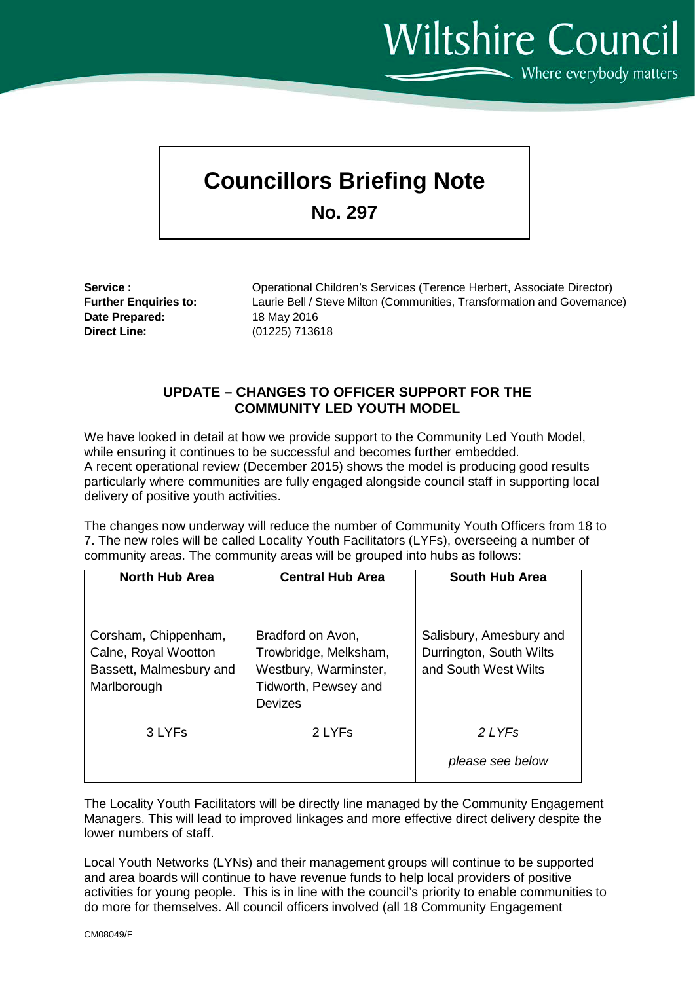**Wiltshire Council**  $\sum$  Where everybody matters

## **Councillors Briefing Note**

**No. 297**

**Date Prepared:** 18 May 2016 **Direct Line:** (01225) 713618

Service :<br> **Service :** Operational Children's Services (Terence Herbert, Associate Director)<br> **Further Enquiries to:** Laurie Bell / Steve Milton (Communities, Transformation and Governanc Laurie Bell / Steve Milton (Communities, Transformation and Governance)

## **UPDATE – CHANGES TO OFFICER SUPPORT FOR THE COMMUNITY LED YOUTH MODEL**

We have looked in detail at how we provide support to the Community Led Youth Model, while ensuring it continues to be successful and becomes further embedded. A recent operational review (December 2015) shows the model is producing good results particularly where communities are fully engaged alongside council staff in supporting local delivery of positive youth activities.

The changes now underway will reduce the number of Community Youth Officers from 18 to 7. The new roles will be called Locality Youth Facilitators (LYFs), overseeing a number of community areas. The community areas will be grouped into hubs as follows:

| <b>North Hub Area</b>   | <b>Central Hub Area</b> | <b>South Hub Area</b>   |
|-------------------------|-------------------------|-------------------------|
|                         |                         |                         |
| Corsham, Chippenham,    | Bradford on Avon,       | Salisbury, Amesbury and |
| Calne, Royal Wootton    | Trowbridge, Melksham,   | Durrington, South Wilts |
| Bassett, Malmesbury and | Westbury, Warminster,   | and South West Wilts    |
| Marlborough             | Tidworth, Pewsey and    |                         |
|                         | Devizes                 |                         |
|                         |                         |                         |
| 3 LYFs                  | 2 LYFs                  | 2 LYFs                  |
|                         |                         | please see below        |

The Locality Youth Facilitators will be directly line managed by the Community Engagement Managers. This will lead to improved linkages and more effective direct delivery despite the lower numbers of staff.

Local Youth Networks (LYNs) and their management groups will continue to be supported and area boards will continue to have revenue funds to help local providers of positive activities for young people. This is in line with the council's priority to enable communities to do more for themselves. All council officers involved (all 18 Community Engagement